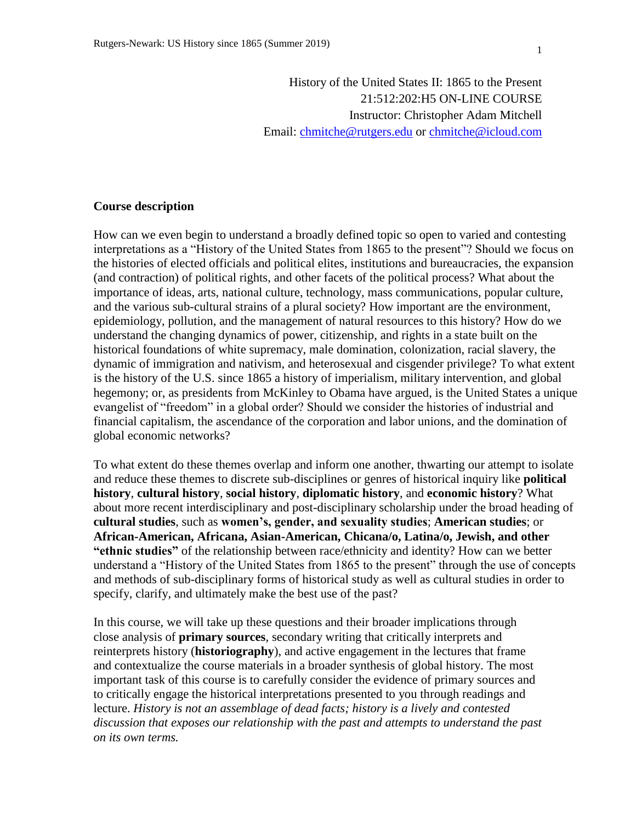History of the United States II: 1865 to the Present 21:512:202:H5 ON-LINE COURSE Instructor: Christopher Adam Mitchell Email: [chmitche@rutgers.edu](mailto:chmitche@rutgers.edu) or [chmitche@icloud.com](mailto:chmitche@icloud.com)

### **Course description**

How can we even begin to understand a broadly defined topic so open to varied and contesting interpretations as a "History of the United States from 1865 to the present"? Should we focus on the histories of elected officials and political elites, institutions and bureaucracies, the expansion (and contraction) of political rights, and other facets of the political process? What about the importance of ideas, arts, national culture, technology, mass communications, popular culture, and the various sub-cultural strains of a plural society? How important are the environment, epidemiology, pollution, and the management of natural resources to this history? How do we understand the changing dynamics of power, citizenship, and rights in a state built on the historical foundations of white supremacy, male domination, colonization, racial slavery, the dynamic of immigration and nativism, and heterosexual and cisgender privilege? To what extent is the history of the U.S. since 1865 a history of imperialism, military intervention, and global hegemony; or, as presidents from McKinley to Obama have argued, is the United States a unique evangelist of "freedom" in a global order? Should we consider the histories of industrial and financial capitalism, the ascendance of the corporation and labor unions, and the domination of global economic networks?

To what extent do these themes overlap and inform one another, thwarting our attempt to isolate and reduce these themes to discrete sub-disciplines or genres of historical inquiry like **political history**, **cultural history**, **social history**, **diplomatic history**, and **economic history**? What about more recent interdisciplinary and post-disciplinary scholarship under the broad heading of **cultural studies**, such as **women's, gender, and sexuality studies**; **American studies**; or **African-American, Africana, Asian-American, Chicana/o, Latina/o, Jewish, and other "ethnic studies"** of the relationship between race/ethnicity and identity? How can we better understand a "History of the United States from 1865 to the present" through the use of concepts and methods of sub-disciplinary forms of historical study as well as cultural studies in order to specify, clarify, and ultimately make the best use of the past?

In this course, we will take up these questions and their broader implications through close analysis of **primary sources**, secondary writing that critically interprets and reinterprets history (**historiography**), and active engagement in the lectures that frame and contextualize the course materials in a broader synthesis of global history. The most important task of this course is to carefully consider the evidence of primary sources and to critically engage the historical interpretations presented to you through readings and lecture. *History is not an assemblage of dead facts; history is a lively and contested discussion that exposes our relationship with the past and attempts to understand the past on its own terms.*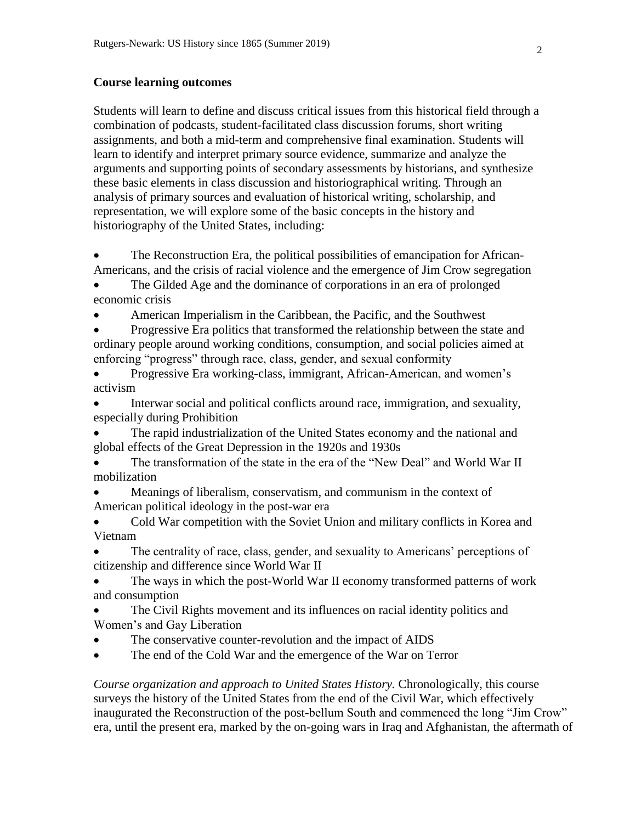#### **Course learning outcomes**

Students will learn to define and discuss critical issues from this historical field through a combination of podcasts, student-facilitated class discussion forums, short writing assignments, and both a mid-term and comprehensive final examination. Students will learn to identify and interpret primary source evidence, summarize and analyze the arguments and supporting points of secondary assessments by historians, and synthesize these basic elements in class discussion and historiographical writing. Through an analysis of primary sources and evaluation of historical writing, scholarship, and representation, we will explore some of the basic concepts in the history and historiography of the United States, including:

 The Reconstruction Era, the political possibilities of emancipation for African-Americans, and the crisis of racial violence and the emergence of Jim Crow segregation

 The Gilded Age and the dominance of corporations in an era of prolonged economic crisis

American Imperialism in the Caribbean, the Pacific, and the Southwest

 Progressive Era politics that transformed the relationship between the state and ordinary people around working conditions, consumption, and social policies aimed at enforcing "progress" through race, class, gender, and sexual conformity

 Progressive Era working-class, immigrant, African-American, and women's activism

 Interwar social and political conflicts around race, immigration, and sexuality, especially during Prohibition

 The rapid industrialization of the United States economy and the national and global effects of the Great Depression in the 1920s and 1930s

 The transformation of the state in the era of the "New Deal" and World War II mobilization

 Meanings of liberalism, conservatism, and communism in the context of American political ideology in the post-war era

 Cold War competition with the Soviet Union and military conflicts in Korea and Vietnam

 The centrality of race, class, gender, and sexuality to Americans' perceptions of citizenship and difference since World War II

 The ways in which the post-World War II economy transformed patterns of work and consumption

 The Civil Rights movement and its influences on racial identity politics and Women's and Gay Liberation

- The conservative counter-revolution and the impact of AIDS
- The end of the Cold War and the emergence of the War on Terror

*Course organization and approach to United States History.* Chronologically, this course surveys the history of the United States from the end of the Civil War, which effectively inaugurated the Reconstruction of the post-bellum South and commenced the long "Jim Crow" era, until the present era, marked by the on-going wars in Iraq and Afghanistan, the aftermath of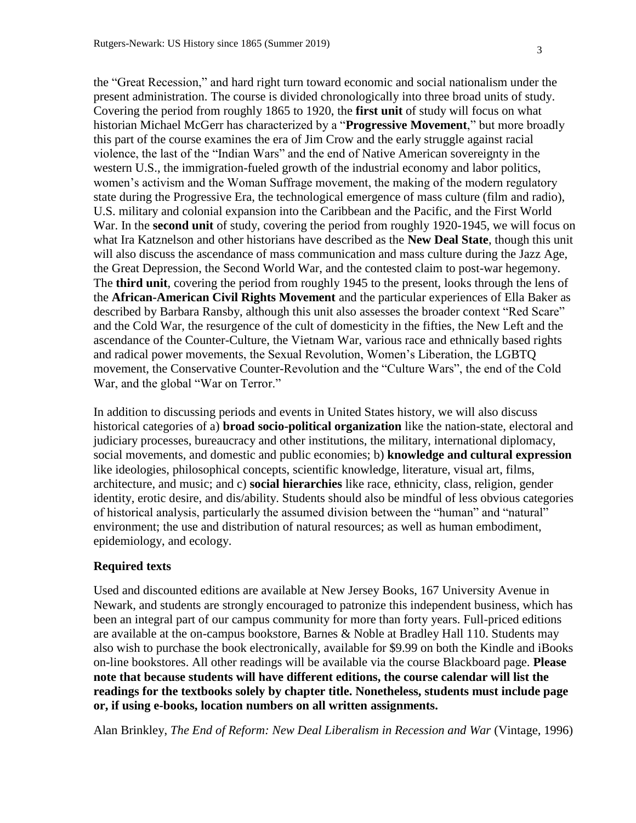the "Great Recession," and hard right turn toward economic and social nationalism under the present administration. The course is divided chronologically into three broad units of study. Covering the period from roughly 1865 to 1920, the **first unit** of study will focus on what historian Michael McGerr has characterized by a "**Progressive Movement**," but more broadly this part of the course examines the era of Jim Crow and the early struggle against racial violence, the last of the "Indian Wars" and the end of Native American sovereignty in the western U.S., the immigration-fueled growth of the industrial economy and labor politics, women's activism and the Woman Suffrage movement, the making of the modern regulatory state during the Progressive Era, the technological emergence of mass culture (film and radio), U.S. military and colonial expansion into the Caribbean and the Pacific, and the First World War. In the **second unit** of study, covering the period from roughly 1920-1945, we will focus on what Ira Katznelson and other historians have described as the **New Deal State**, though this unit will also discuss the ascendance of mass communication and mass culture during the Jazz Age, the Great Depression, the Second World War, and the contested claim to post-war hegemony. The **third unit**, covering the period from roughly 1945 to the present, looks through the lens of the **African-American Civil Rights Movement** and the particular experiences of Ella Baker as described by Barbara Ransby, although this unit also assesses the broader context "Red Scare" and the Cold War, the resurgence of the cult of domesticity in the fifties, the New Left and the ascendance of the Counter-Culture, the Vietnam War, various race and ethnically based rights and radical power movements, the Sexual Revolution, Women's Liberation, the LGBTQ movement, the Conservative Counter-Revolution and the "Culture Wars", the end of the Cold War, and the global "War on Terror."

In addition to discussing periods and events in United States history, we will also discuss historical categories of a) **broad socio-political organization** like the nation-state, electoral and judiciary processes, bureaucracy and other institutions, the military, international diplomacy, social movements, and domestic and public economies; b) **knowledge and cultural expression**  like ideologies, philosophical concepts, scientific knowledge, literature, visual art, films, architecture, and music; and c) **social hierarchies** like race, ethnicity, class, religion, gender identity, erotic desire, and dis/ability. Students should also be mindful of less obvious categories of historical analysis, particularly the assumed division between the "human" and "natural" environment; the use and distribution of natural resources; as well as human embodiment, epidemiology, and ecology.

### **Required texts**

Used and discounted editions are available at New Jersey Books, 167 University Avenue in Newark, and students are strongly encouraged to patronize this independent business, which has been an integral part of our campus community for more than forty years. Full-priced editions are available at the on-campus bookstore, Barnes & Noble at Bradley Hall 110. Students may also wish to purchase the book electronically, available for \$9.99 on both the Kindle and iBooks on-line bookstores. All other readings will be available via the course Blackboard page. **Please note that because students will have different editions, the course calendar will list the readings for the textbooks solely by chapter title. Nonetheless, students must include page or, if using e-books, location numbers on all written assignments.**

Alan Brinkley, *The End of Reform: New Deal Liberalism in Recession and War* (Vintage, 1996)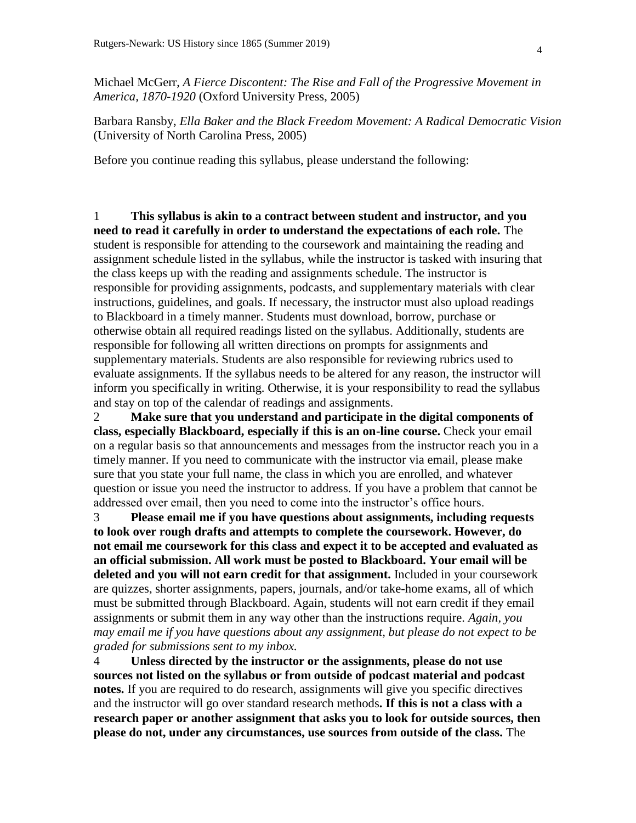Michael McGerr, *A Fierce Discontent: The Rise and Fall of the Progressive Movement in America, 1870-1920* (Oxford University Press, 2005)

Barbara Ransby, *Ella Baker and the Black Freedom Movement: A Radical Democratic Vision*  (University of North Carolina Press, 2005)

Before you continue reading this syllabus, please understand the following:

1 **This syllabus is akin to a contract between student and instructor, and you need to read it carefully in order to understand the expectations of each role.** The student is responsible for attending to the coursework and maintaining the reading and assignment schedule listed in the syllabus, while the instructor is tasked with insuring that the class keeps up with the reading and assignments schedule. The instructor is responsible for providing assignments, podcasts, and supplementary materials with clear instructions, guidelines, and goals. If necessary, the instructor must also upload readings to Blackboard in a timely manner. Students must download, borrow, purchase or otherwise obtain all required readings listed on the syllabus. Additionally, students are responsible for following all written directions on prompts for assignments and supplementary materials. Students are also responsible for reviewing rubrics used to evaluate assignments. If the syllabus needs to be altered for any reason, the instructor will inform you specifically in writing. Otherwise, it is your responsibility to read the syllabus and stay on top of the calendar of readings and assignments.

2 **Make sure that you understand and participate in the digital components of class, especially Blackboard, especially if this is an on-line course.** Check your email on a regular basis so that announcements and messages from the instructor reach you in a timely manner. If you need to communicate with the instructor via email, please make sure that you state your full name, the class in which you are enrolled, and whatever question or issue you need the instructor to address. If you have a problem that cannot be addressed over email, then you need to come into the instructor's office hours.

3 **Please email me if you have questions about assignments, including requests to look over rough drafts and attempts to complete the coursework. However, do not email me coursework for this class and expect it to be accepted and evaluated as an official submission. All work must be posted to Blackboard. Your email will be deleted and you will not earn credit for that assignment.** Included in your coursework are quizzes, shorter assignments, papers, journals, and/or take-home exams, all of which must be submitted through Blackboard. Again, students will not earn credit if they email assignments or submit them in any way other than the instructions require. *Again, you may email me if you have questions about any assignment, but please do not expect to be graded for submissions sent to my inbox.* 

4 **Unless directed by the instructor or the assignments, please do not use sources not listed on the syllabus or from outside of podcast material and podcast notes.** If you are required to do research, assignments will give you specific directives and the instructor will go over standard research methods**. If this is not a class with a research paper or another assignment that asks you to look for outside sources, then please do not, under any circumstances, use sources from outside of the class.** The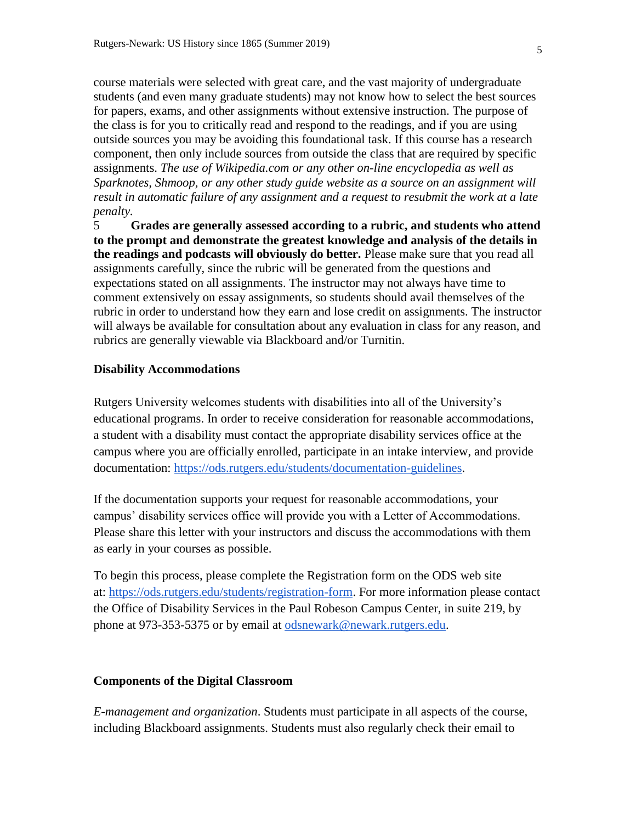course materials were selected with great care, and the vast majority of undergraduate students (and even many graduate students) may not know how to select the best sources for papers, exams, and other assignments without extensive instruction. The purpose of the class is for you to critically read and respond to the readings, and if you are using outside sources you may be avoiding this foundational task. If this course has a research component, then only include sources from outside the class that are required by specific assignments. *The use of Wikipedia.com or any other on-line encyclopedia as well as Sparknotes, Shmoop, or any other study guide website as a source on an assignment will result in automatic failure of any assignment and a request to resubmit the work at a late penalty.* 

5 **Grades are generally assessed according to a rubric, and students who attend to the prompt and demonstrate the greatest knowledge and analysis of the details in the readings and podcasts will obviously do better.** Please make sure that you read all assignments carefully, since the rubric will be generated from the questions and expectations stated on all assignments. The instructor may not always have time to comment extensively on essay assignments, so students should avail themselves of the rubric in order to understand how they earn and lose credit on assignments. The instructor will always be available for consultation about any evaluation in class for any reason, and rubrics are generally viewable via Blackboard and/or Turnitin.

#### **Disability Accommodations**

Rutgers University welcomes students with disabilities into all of the University's educational programs. In order to receive consideration for reasonable accommodations, a student with a disability must contact the appropriate disability services office at the campus where you are officially enrolled, participate in an intake interview, and provide documentation: [https://ods.rutgers.edu/students/documentation-guidelines.](https://ods.rutgers.edu/students/documentation-guidelines)

If the documentation supports your request for reasonable accommodations, your campus' disability services office will provide you with a Letter of Accommodations. Please share this letter with your instructors and discuss the accommodations with them as early in your courses as possible.

To begin this process, please complete the Registration form on the ODS web site at: [https://ods.rutgers.edu/students/registration-form.](https://ods.rutgers.edu/students/registration-form) For more information please contact the Office of Disability Services in the Paul Robeson Campus Center, in suite 219, by phone at 973-353-5375 or by email at [odsnewark@newark.rutgers.edu.](mailto:odsnewark@newark.rutgers.edu)

#### **Components of the Digital Classroom**

*E-management and organization*. Students must participate in all aspects of the course, including Blackboard assignments. Students must also regularly check their email to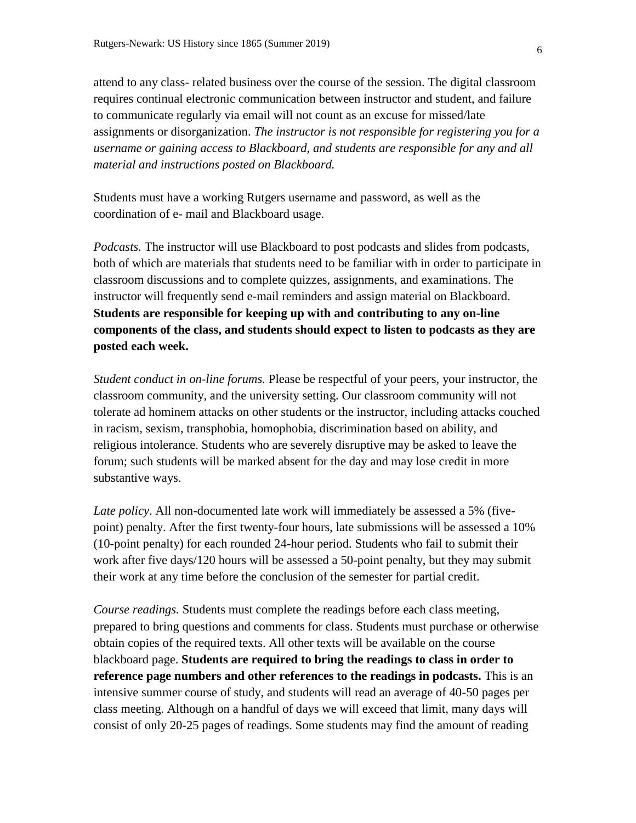attend to any class- related business over the course of the session. The digital classroom requires continual electronic communication between instructor and student, and failure to communicate regularly via email will not count as an excuse for missed/late assignments or disorganization. *The instructor is not responsible for registering you for a username or gaining access to Blackboard, and students are responsible for any and all material and instructions posted on Blackboard.* 

Students must have a working Rutgers username and password, as well as the coordination of e- mail and Blackboard usage.

*Podcasts.* The instructor will use Blackboard to post podcasts and slides from podcasts, both of which are materials that students need to be familiar with in order to participate in classroom discussions and to complete quizzes, assignments, and examinations. The instructor will frequently send e-mail reminders and assign material on Blackboard. **Students are responsible for keeping up with and contributing to any on-line components of the class, and students should expect to listen to podcasts as they are posted each week.** 

*Student conduct in on-line forums.* Please be respectful of your peers, your instructor, the classroom community, and the university setting. Our classroom community will not tolerate ad hominem attacks on other students or the instructor, including attacks couched in racism, sexism, transphobia, homophobia, discrimination based on ability, and religious intolerance. Students who are severely disruptive may be asked to leave the forum; such students will be marked absent for the day and may lose credit in more substantive ways.

*Late policy*. All non-documented late work will immediately be assessed a 5% (fivepoint) penalty. After the first twenty-four hours, late submissions will be assessed a 10% (10-point penalty) for each rounded 24-hour period. Students who fail to submit their work after five days/120 hours will be assessed a 50-point penalty, but they may submit their work at any time before the conclusion of the semester for partial credit.

*Course readings.* Students must complete the readings before each class meeting, prepared to bring questions and comments for class. Students must purchase or otherwise obtain copies of the required texts. All other texts will be available on the course blackboard page. **Students are required to bring the readings to class in order to reference page numbers and other references to the readings in podcasts.** This is an intensive summer course of study, and students will read an average of 40-50 pages per class meeting. Although on a handful of days we will exceed that limit, many days will consist of only 20-25 pages of readings. Some students may find the amount of reading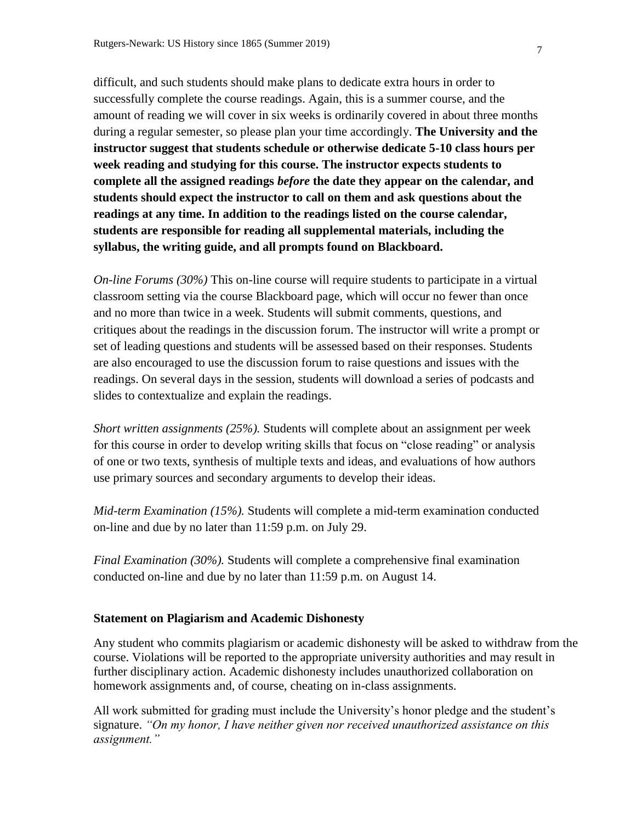difficult, and such students should make plans to dedicate extra hours in order to successfully complete the course readings. Again, this is a summer course, and the amount of reading we will cover in six weeks is ordinarily covered in about three months during a regular semester, so please plan your time accordingly. **The University and the instructor suggest that students schedule or otherwise dedicate 5-10 class hours per week reading and studying for this course. The instructor expects students to complete all the assigned readings** *before* **the date they appear on the calendar, and students should expect the instructor to call on them and ask questions about the readings at any time. In addition to the readings listed on the course calendar, students are responsible for reading all supplemental materials, including the syllabus, the writing guide, and all prompts found on Blackboard.** 

*On-line Forums (30%)* This on-line course will require students to participate in a virtual classroom setting via the course Blackboard page, which will occur no fewer than once and no more than twice in a week. Students will submit comments, questions, and critiques about the readings in the discussion forum. The instructor will write a prompt or set of leading questions and students will be assessed based on their responses. Students are also encouraged to use the discussion forum to raise questions and issues with the readings. On several days in the session, students will download a series of podcasts and slides to contextualize and explain the readings.

*Short written assignments (25%).* Students will complete about an assignment per week for this course in order to develop writing skills that focus on "close reading" or analysis of one or two texts, synthesis of multiple texts and ideas, and evaluations of how authors use primary sources and secondary arguments to develop their ideas.

*Mid-term Examination (15%).* Students will complete a mid-term examination conducted on-line and due by no later than 11:59 p.m. on July 29.

*Final Examination (30%).* Students will complete a comprehensive final examination conducted on-line and due by no later than 11:59 p.m. on August 14.

#### **Statement on Plagiarism and Academic Dishonesty**

Any student who commits plagiarism or academic dishonesty will be asked to withdraw from the course. Violations will be reported to the appropriate university authorities and may result in further disciplinary action. Academic dishonesty includes unauthorized collaboration on homework assignments and, of course, cheating on in-class assignments.

All work submitted for grading must include the University's honor pledge and the student's signature. *"On my honor, I have neither given nor received unauthorized assistance on this assignment."*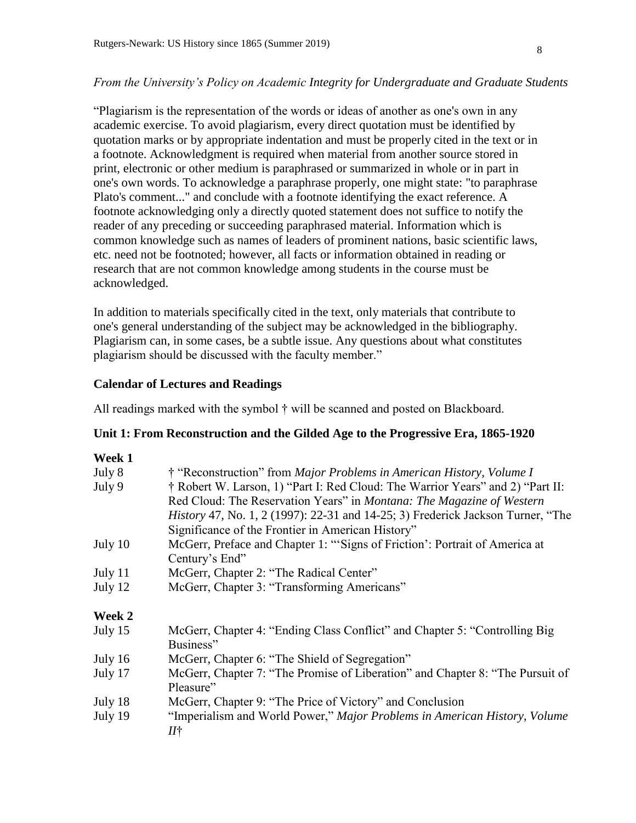### *From the University's Policy on Academic Integrity for Undergraduate and Graduate Students*

"Plagiarism is the representation of the words or ideas of another as one's own in any academic exercise. To avoid plagiarism, every direct quotation must be identified by quotation marks or by appropriate indentation and must be properly cited in the text or in a footnote. Acknowledgment is required when material from another source stored in print, electronic or other medium is paraphrased or summarized in whole or in part in one's own words. To acknowledge a paraphrase properly, one might state: "to paraphrase Plato's comment..." and conclude with a footnote identifying the exact reference. A footnote acknowledging only a directly quoted statement does not suffice to notify the reader of any preceding or succeeding paraphrased material. Information which is common knowledge such as names of leaders of prominent nations, basic scientific laws, etc. need not be footnoted; however, all facts or information obtained in reading or research that are not common knowledge among students in the course must be acknowledged.

In addition to materials specifically cited in the text, only materials that contribute to one's general understanding of the subject may be acknowledged in the bibliography. Plagiarism can, in some cases, be a subtle issue. Any questions about what constitutes plagiarism should be discussed with the faculty member."

### **Calendar of Lectures and Readings**

All readings marked with the symbol † will be scanned and posted on Blackboard.

### **Unit 1: From Reconstruction and the Gilded Age to the Progressive Era, 1865-1920**

#### **Week 1**

| July 8  | † "Reconstruction" from Major Problems in American History, Volume I            |
|---------|---------------------------------------------------------------------------------|
| July 9  | † Robert W. Larson, 1) "Part I: Red Cloud: The Warrior Years" and 2) "Part II:  |
|         | Red Cloud: The Reservation Years" in <i>Montana: The Magazine of Western</i>    |
|         | History 47, No. 1, 2 (1997): 22-31 and 14-25; 3) Frederick Jackson Turner, "The |
|         | Significance of the Frontier in American History"                               |
| July 10 | McGerr, Preface and Chapter 1: "Signs of Friction': Portrait of America at      |
|         | Century's End"                                                                  |
| July 11 | McGerr, Chapter 2: "The Radical Center"                                         |
| July 12 | McGerr, Chapter 3: "Transforming Americans"                                     |
| Week 2  |                                                                                 |
| July 15 | McGerr, Chapter 4: "Ending Class Conflict" and Chapter 5: "Controlling Big      |
|         | Business"                                                                       |
| July 16 | McGerr, Chapter 6: "The Shield of Segregation"                                  |
| July 17 | McGerr, Chapter 7: "The Promise of Liberation" and Chapter 8: "The Pursuit of   |
|         | Pleasure"                                                                       |
| July 18 | McGerr, Chapter 9: "The Price of Victory" and Conclusion                        |
| July 19 | "Imperialism and World Power," Major Problems in American History, Volume<br>И† |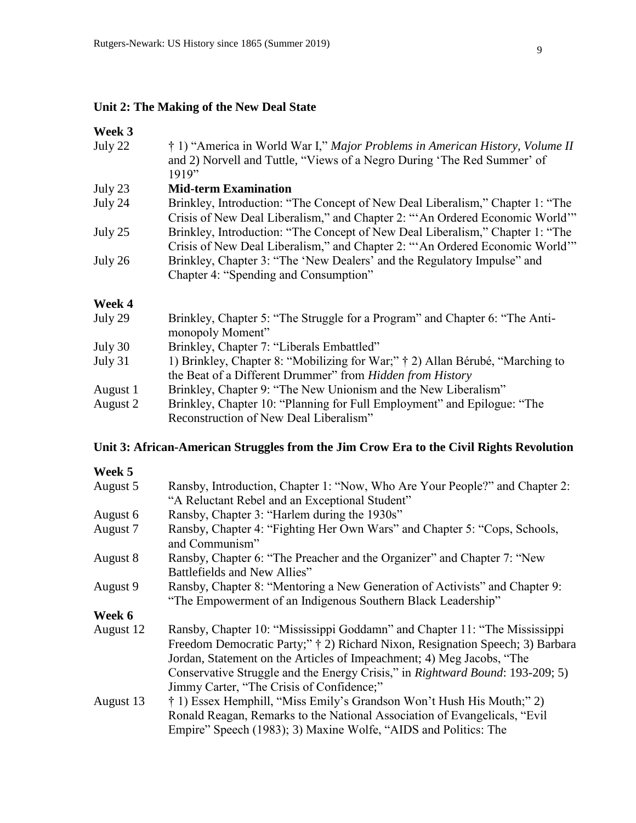## **Unit 2: The Making of the New Deal State**

### **Week 3**

| July 22  | † 1) "America in World War I," Major Problems in American History, Volume II<br>and 2) Norvell and Tuttle, "Views of a Negro During 'The Red Summer' of<br>1919" |
|----------|------------------------------------------------------------------------------------------------------------------------------------------------------------------|
| July 23  | <b>Mid-term Examination</b>                                                                                                                                      |
| July 24  | Brinkley, Introduction: "The Concept of New Deal Liberalism," Chapter 1: "The<br>Crisis of New Deal Liberalism," and Chapter 2: "An Ordered Economic World"      |
| July 25  | Brinkley, Introduction: "The Concept of New Deal Liberalism," Chapter 1: "The<br>Crisis of New Deal Liberalism," and Chapter 2: "An Ordered Economic World"      |
| July 26  | Brinkley, Chapter 3: "The 'New Dealers' and the Regulatory Impulse" and<br>Chapter 4: "Spending and Consumption"                                                 |
| Week 4   |                                                                                                                                                                  |
| July 29  | Brinkley, Chapter 5: "The Struggle for a Program" and Chapter 6: "The Anti-<br>monopoly Moment"                                                                  |
| July 30  | Brinkley, Chapter 7: "Liberals Embattled"                                                                                                                        |
| July 31  | 1) Brinkley, Chapter 8: "Mobilizing for War;" † 2) Allan Bérubé, "Marching to<br>the Beat of a Different Drummer" from Hidden from History                       |
| August 1 | Brinkley, Chapter 9: "The New Unionism and the New Liberalism"                                                                                                   |
| August 2 | Brinkley, Chapter 10: "Planning for Full Employment" and Epilogue: "The                                                                                          |

## Reconstruction of New Deal Liberalism"

## **Unit 3: African-American Struggles from the Jim Crow Era to the Civil Rights Revolution**

# **Week 5**

| August 5  | Ransby, Introduction, Chapter 1: "Now, Who Are Your People?" and Chapter 2:<br>"A Reluctant Rebel and an Exceptional Student"                                                                                                        |
|-----------|--------------------------------------------------------------------------------------------------------------------------------------------------------------------------------------------------------------------------------------|
| August 6  | Ransby, Chapter 3: "Harlem during the 1930s"                                                                                                                                                                                         |
| August 7  | Ransby, Chapter 4: "Fighting Her Own Wars" and Chapter 5: "Cops, Schools,<br>and Communism"                                                                                                                                          |
| August 8  | Ransby, Chapter 6: "The Preacher and the Organizer" and Chapter 7: "New<br>Battlefields and New Allies"                                                                                                                              |
| August 9  | Ransby, Chapter 8: "Mentoring a New Generation of Activists" and Chapter 9:<br>"The Empowerment of an Indigenous Southern Black Leadership"                                                                                          |
| Week 6    |                                                                                                                                                                                                                                      |
| August 12 | Ransby, Chapter 10: "Mississippi Goddamn" and Chapter 11: "The Mississippi<br>Freedom Democratic Party;" † 2) Richard Nixon, Resignation Speech; 3) Barbara<br>Jordan, Statement on the Articles of Impeachment; 4) Meg Jacobs, "The |
|           | Conservative Struggle and the Energy Crisis," in Rightward Bound: 193-209; 5)<br>Jimmy Carter, "The Crisis of Confidence;"                                                                                                           |
| August 13 | † 1) Essex Hemphill, "Miss Emily's Grandson Won't Hush His Mouth;" 2)<br>Ronald Reagan, Remarks to the National Association of Evangelicals, "Evil<br>Empire" Speech (1983); 3) Maxine Wolfe, "AIDS and Politics: The                |